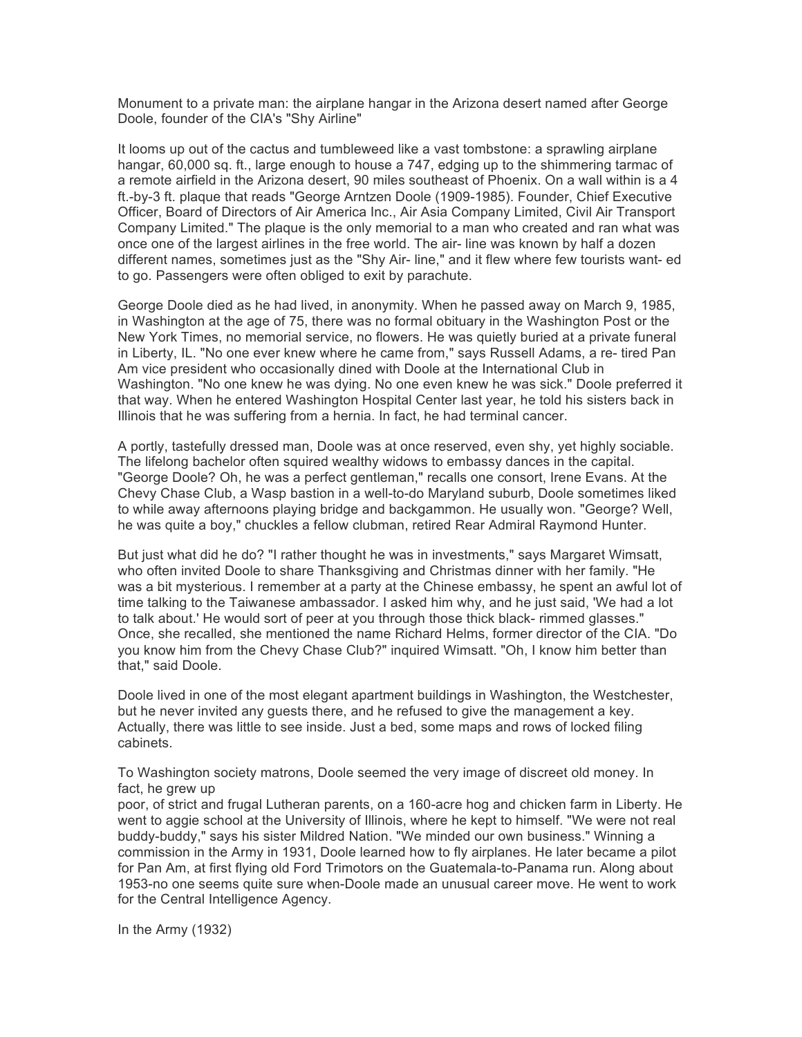Monument to a private man: the airplane hangar in the Arizona desert named after George Doole, founder of the CIA's "Shy Airline"

It looms up out of the cactus and tumbleweed like a vast tombstone: a sprawling airplane hangar, 60,000 sq. ft., large enough to house a 747, edging up to the shimmering tarmac of a remote airfield in the Arizona desert, 90 miles southeast of Phoenix. On a wall within is a 4 ft.-by-3 ft. plaque that reads "George Arntzen Doole (1909-1985). Founder, Chief Executive Officer, Board of Directors of Air America Inc., Air Asia Company Limited, Civil Air Transport Company Limited." The plaque is the only memorial to a man who created and ran what was once one of the largest airlines in the free world. The air- line was known by half a dozen different names, sometimes just as the "Shy Air- line," and it flew where few tourists want- ed to go. Passengers were often obliged to exit by parachute.

George Doole died as he had lived, in anonymity. When he passed away on March 9, 1985, in Washington at the age of 75, there was no formal obituary in the Washington Post or the New York Times, no memorial service, no flowers. He was quietly buried at a private funeral in Liberty, IL. "No one ever knew where he came from," says Russell Adams, a re- tired Pan Am vice president who occasionally dined with Doole at the International Club in Washington. "No one knew he was dying. No one even knew he was sick." Doole preferred it that way. When he entered Washington Hospital Center last year, he told his sisters back in Illinois that he was suffering from a hernia. In fact, he had terminal cancer.

A portly, tastefully dressed man, Doole was at once reserved, even shy, yet highly sociable. The lifelong bachelor often squired wealthy widows to embassy dances in the capital. "George Doole? Oh, he was a perfect gentleman," recalls one consort, Irene Evans. At the Chevy Chase Club, a Wasp bastion in a well-to-do Maryland suburb, Doole sometimes liked to while away afternoons playing bridge and backgammon. He usually won. "George? Well, he was quite a boy," chuckles a fellow clubman, retired Rear Admiral Raymond Hunter.

But just what did he do? "I rather thought he was in investments," says Margaret Wimsatt, who often invited Doole to share Thanksgiving and Christmas dinner with her family. "He was a bit mysterious. I remember at a party at the Chinese embassy, he spent an awful lot of time talking to the Taiwanese ambassador. I asked him why, and he just said, 'We had a lot to talk about.' He would sort of peer at you through those thick black- rimmed glasses." Once, she recalled, she mentioned the name Richard Helms, former director of the CIA. "Do you know him from the Chevy Chase Club?" inquired Wimsatt. "Oh, I know him better than that," said Doole.

Doole lived in one of the most elegant apartment buildings in Washington, the Westchester, but he never invited any guests there, and he refused to give the management a key. Actually, there was little to see inside. Just a bed, some maps and rows of locked filing cabinets.

To Washington society matrons, Doole seemed the very image of discreet old money. In fact, he grew up

poor, of strict and frugal Lutheran parents, on a 160-acre hog and chicken farm in Liberty. He went to aggie school at the University of Illinois, where he kept to himself. "We were not real buddy-buddy," says his sister Mildred Nation. "We minded our own business." Winning a commission in the Army in 1931, Doole learned how to fly airplanes. He later became a pilot for Pan Am, at first flying old Ford Trimotors on the Guatemala-to-Panama run. Along about 1953-no one seems quite sure when-Doole made an unusual career move. He went to work for the Central Intelligence Agency.

In the Army (1932)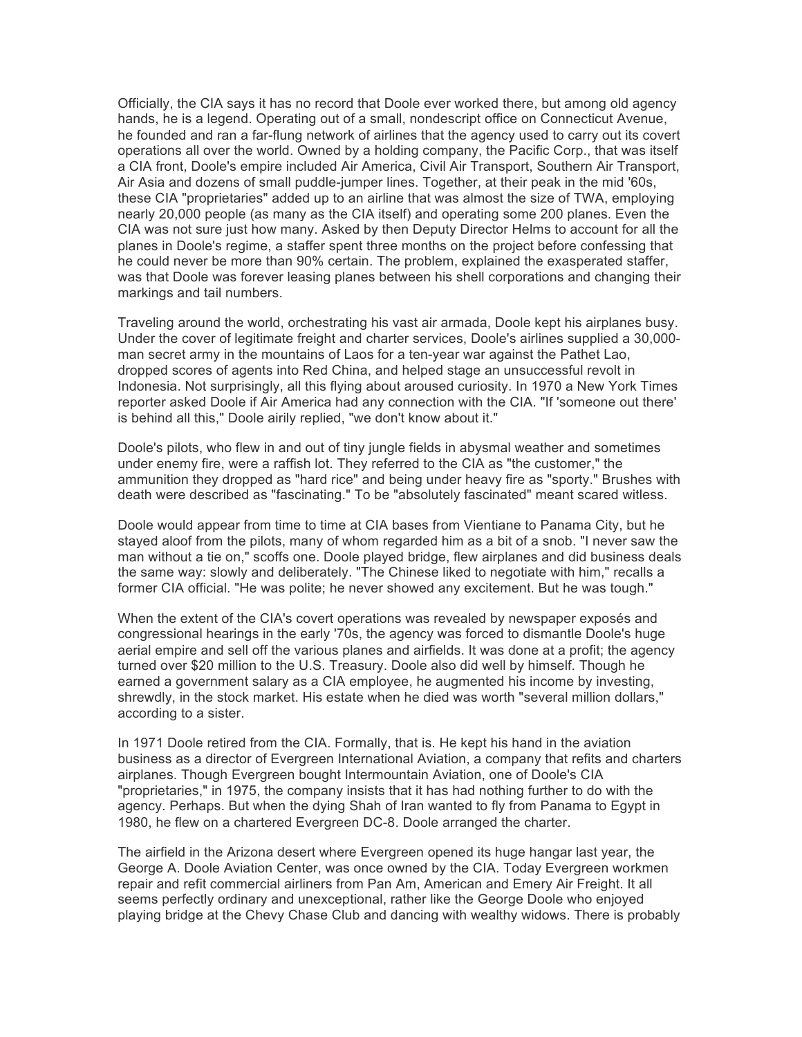Officially, the CIA says it has no record that Doole ever worked there, but among old agency hands, he is a legend. Operating out of a small, nondescript office on Connecticut Avenue, he founded and ran a far-flung network of airlines that the agency used to carry out its covert operations all over the world. Owned by a holding company, the Pacific Corp., that was itself a CIA front, Doole's empire included Air America, Civil Air Transport, Southern Air Transport, Air Asia and dozens of small puddle-jumper lines. Together, at their peak in the mid '60s, these CIA "proprietaries" added up to an airline that was almost the size of TWA, employing nearly 20,000 people (as many as the CIA itself) and operating some 200 planes. Even the CIA was not sure just how many. Asked by then Deputy Director Helms to account for all the planes in Doole's regime, a staffer spent three months on the project before confessing that he could never be more than 90% certain. The problem, explained the exasperated staffer, was that Doole was forever leasing planes between his shell corporations and changing their markings and tail numbers.

Traveling around the world, orchestrating his vast air armada, Doole kept his airplanes busy. Under the cover of legitimate freight and charter services, Doole's airlines supplied a 30,000 man secret army in the mountains of Laos for a ten-year war against the Pathet Lao, dropped scores of agents into Red China, and helped stage an unsuccessful revolt in Indonesia. Not surprisingly, all this flying about aroused curiosity. In 1970 a New York Times reporter asked Doole if Air America had any connection with the CIA. "If 'someone out there' is behind all this," Doole airily replied, "we don't know about it."

Doole's pilots, who flew in and out of tiny jungle fields in abysmal weather and sometimes under enemy fire, were a raffish lot. They referred to the CIA as "the customer," the ammunition they dropped as "hard rice" and being under heavy fire as "sporty." Brushes with death were described as "fascinating." To be "absolutely fascinated" meant scared witless.

Doole would appear from time to time at CIA bases from Vientiane to Panama City, but he stayed aloof from the pilots, many of whom regarded him as a bit of a snob. "I never saw the man without a tie on," scoffs one. Doole played bridge, flew airplanes and did business deals the same way: slowly and deliberately. "The Chinese liked to negotiate with him," recalls a former CIA official. "He was polite; he never showed any excitement. But he was tough."

When the extent of the CIA's covert operations was revealed by newspaper exposés and congressional hearings in the early '70s, the agency was forced to dismantle Doole's huge aerial empire and sell off the various planes and airfields. It was done at a profit; the agency turned over \$20 million to the U.S. Treasury. Doole also did well by himself. Though he earned a government salary as a CIA employee, he augmented his income by investing, shrewdly, in the stock market. His estate when he died was worth "several million dollars," according to a sister.

In 1971 Doole retired from the CIA. Formally, that is. He kept his hand in the aviation business as a director of Evergreen International Aviation, a company that refits and charters airplanes. Though Evergreen bought Intermountain Aviation, one of Doole's CIA "proprietaries," in 1975, the company insists that it has had nothing further to do with the agency. Perhaps. But when the dying Shah of Iran wanted to fly from Panama to Egypt in 1980, he flew on a chartered Evergreen DC-8. Doole arranged the charter.

The airfield in the Arizona desert where Evergreen opened its huge hangar last year, the George A. Doole Aviation Center, was once owned by the CIA. Today Evergreen workmen repair and refit commercial airliners from Pan Am, American and Emery Air Freight. It all seems perfectly ordinary and unexceptional, rather like the George Doole who enjoyed playing bridge at the Chevy Chase Club and dancing with wealthy widows. There is probably